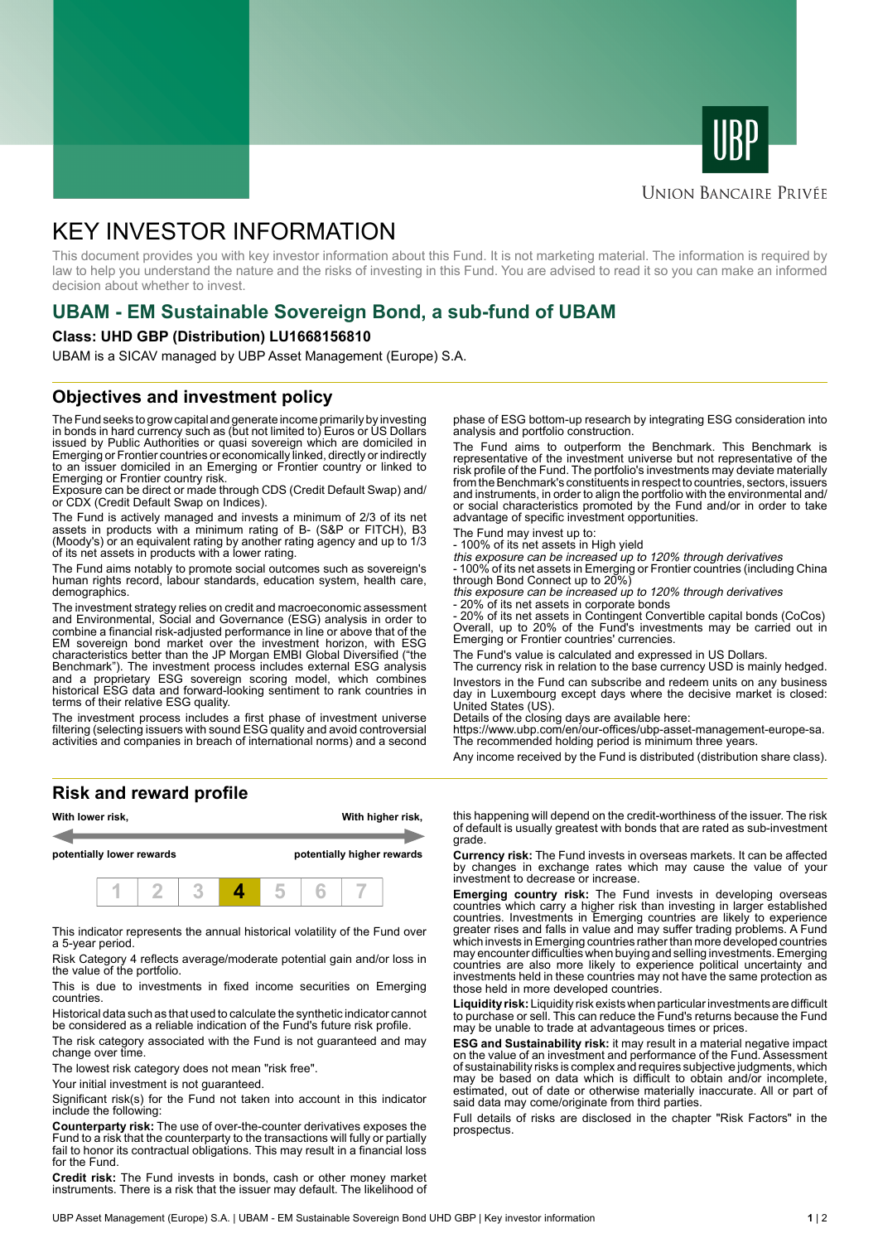



### **UNION BANCAIRE PRIVÉE**

# KEY INVESTOR INFORMATION

This document provides you with key investor information about this Fund. It is not marketing material. The information is required by law to help you understand the nature and the risks of investing in this Fund. You are advised to read it so you can make an informed decision about whether to invest.

# **UBAM - EM Sustainable Sovereign Bond, a sub-fund of UBAM**

### **Class: UHD GBP (Distribution) LU1668156810**

UBAM is a SICAV managed by UBP Asset Management (Europe) S.A.

### **Objectives and investment policy**

The Fund seeks to grow capital and generate income primarily by investing in bonds in hard currency such as (but not limited to) Euros or US Dollars issued by Public Authorities or quasi sovereign which are domiciled in Emerging or Frontier countries or economically linked, directly or indirectly to an issuer domiciled in an Emerging or Frontier country or linked to Emerging or Frontier country risk.

Exposure can be direct or made through CDS (Credit Default Swap) and/ or CDX (Credit Default Swap on Indices).

The Fund is actively managed and invests a minimum of 2/3 of its net assets in products with a minimum rating of B- (S&P or FITCH), B3 (Moody's) or an equivalent rating by another rating agency and up to 1/3 of its net assets in products with a lower rating.

The Fund aims notably to promote social outcomes such as sovereign's human rights record, labour standards, education system, health care, demographics.

The investment strategy relies on credit and macroeconomic assessment and Environmental, Social and Governance (ESG) analysis in order to combine a financial risk-adjusted performance in line or above that of the EM sovereign bond market over the investment horizon, with ESG characteristics better than the JP Morgan EMBI Global Diversified ("the Benchmark"). The investment process includes external ESG analysis and a proprietary ESG sovereign scoring model, which combines historical ESG data and forward-looking sentiment to rank countries in terms of their relative ESG quality.

The investment process includes a first phase of investment universe filtering (selecting issuers with sound ESG quality and avoid controversial activities and companies in breach of international norms) and a second

**Risk and reward profile**



This indicator represents the annual historical volatility of the Fund over a 5-year period.

Risk Category 4 reflects average/moderate potential gain and/or loss in the value of the portfolio.

This is due to investments in fixed income securities on Emerging countries.

Historical data such as that used to calculate the synthetic indicator cannot be considered as a reliable indication of the Fund's future risk profile.

The risk category associated with the Fund is not guaranteed and may change over time.

The lowest risk category does not mean "risk free".

Your initial investment is not guaranteed.

Significant risk(s) for the Fund not taken into account in this indicator include the following:

**Counterparty risk:** The use of over-the-counter derivatives exposes the Fund to a risk that the counterparty to the transactions will fully or partially fail to honor its contractual obligations. This may result in a financial loss for the Fund.

**Credit risk:** The Fund invests in bonds, cash or other money market instruments. There is a risk that the issuer may default. The likelihood of

phase of ESG bottom-up research by integrating ESG consideration into analysis and portfolio construction.

The Fund aims to outperform the Benchmark. This Benchmark is representative of the investment universe but not representative of the risk profile of the Fund. The portfolio's investments may deviate materially from the Benchmark's constituents in respect to countries, sectors, issuers and instruments, in order to align the portfolio with the environmental and/ or social characteristics promoted by the Fund and/or in order to take advantage of specific investment opportunities.

The Fund may invest up to:

- 100% of its net assets in High yield

this exposure can be increased up to 120% through derivatives - 100% of its net assets in Emerging or Frontier countries (including China

through Bond Connect up to 20%) this exposure can be increased up to 120% through derivatives

20% of its net assets in corporate bonds

- 20% of its net assets in Contingent Convertible capital bonds (CoCos) Overall, up to 20% of the Fund's investments may be carried out in Emerging or Frontier countries' currencies.

The Fund's value is calculated and expressed in US Dollars.

The currency risk in relation to the base currency USD is mainly hedged. Investors in the Fund can subscribe and redeem units on any business day in Luxembourg except days where the decisive market is closed: United States (US).

Details of the closing days are available here:

https://www.ubp.com/en/our-offices/ubp-asset-management-europe-sa. The recommended holding period is minimum three years.

Any income received by the Fund is distributed (distribution share class).

this happening will depend on the credit-worthiness of the issuer. The risk of default is usually greatest with bonds that are rated as sub-investment grade.

**Currency risk:** The Fund invests in overseas markets. It can be affected by changes in exchange rates which may cause the value of your investment to decrease or increase.

**Emerging country risk:** The Fund invests in developing overseas countries which carry a higher risk than investing in larger established countries. Investments in Emerging countries are likely to experience greater rises and falls in value and may suffer trading problems. A Fund which invests in Emerging countries rather than more developed countries may encounter difficulties when buying and selling investments. Emerging countries are also more likely to experience political uncertainty and investments held in these countries may not have the same protection as those held in more developed countries.

**Liquidity risk:** Liquidity risk exists when particular investments are difficult to purchase or sell. This can reduce the Fund's returns because the Fund may be unable to trade at advantageous times or prices.

**ESG and Sustainability risk:** it may result in a material negative impact on the value of an investment and performance of the Fund. Assessment of sustainability risks is complex and requires subjective judgments, which may be based on data which is difficult to obtain and/or incomplete, estimated, out of date or otherwise materially inaccurate. All or part of said data may come/originate from third parties.

Full details of risks are disclosed in the chapter "Risk Factors" in the prospectus.